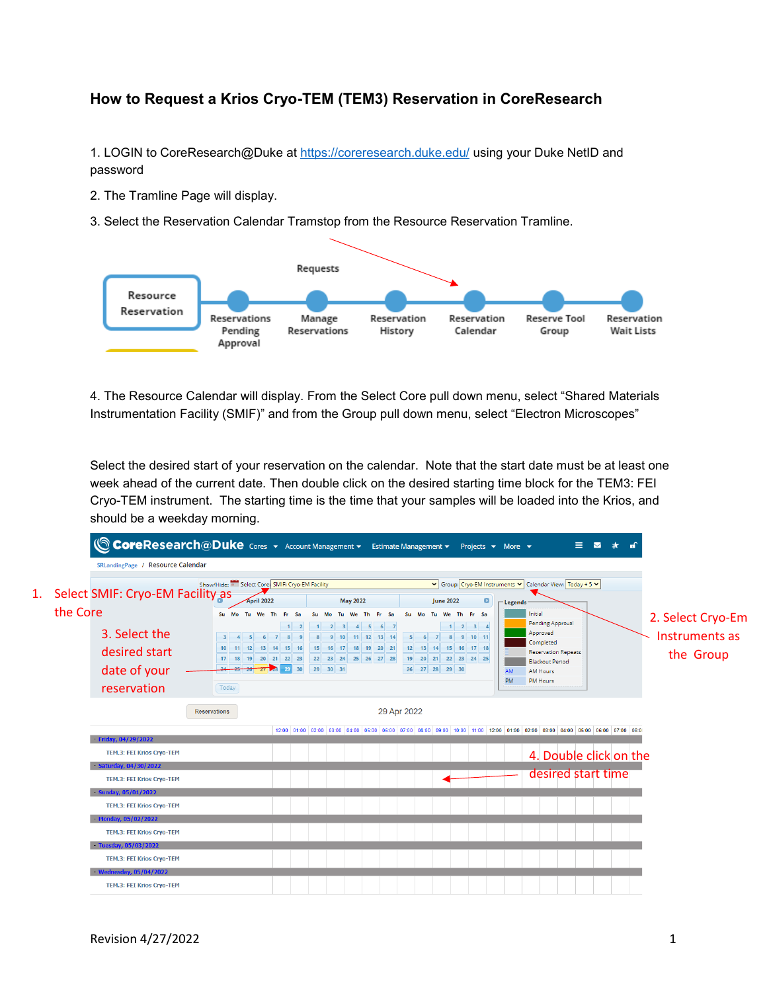## **How to Request a Krios Cryo-TEM (TEM3) Reservation in CoreResearch**

1. LOGIN to CoreResearch@Duke at<https://coreresearch.duke.edu/> using your Duke NetID and password

- 2. The Tramline Page will display.
- 3. Select the Reservation Calendar Tramstop from the Resource Reservation Tramline.



4. The Resource Calendar will display. From the Select Core pull down menu, select "Shared Materials Instrumentation Facility (SMIF)" and from the Group pull down menu, select "Electron Microscopes"

Select the desired start of your reservation on the calendar. Note that the start date must be at least one week ahead of the current date. Then double click on the desired starting time block for the TEM3: FEI Cryo-TEM instrument. The starting time is the time that your samples will be loaded into the Krios, and should be a weekday morning.

|          | CoreResearch@Duke Cores v Account Management v Estimate Management v Projects v More v<br>SRLandingPage / Resource Calendar |                                                                                     |              |                      |                                                                           |                                                                                  |                                              | $\blacksquare$<br>Ξ.                                                                                                                                       |                             |
|----------|-----------------------------------------------------------------------------------------------------------------------------|-------------------------------------------------------------------------------------|--------------|----------------------|---------------------------------------------------------------------------|----------------------------------------------------------------------------------|----------------------------------------------|------------------------------------------------------------------------------------------------------------------------------------------------------------|-----------------------------|
| the Core | Select SMIF: Cryo-EM Facility as                                                                                            | Show/Hide: a Select Core: SMIF: Cryo-EM Facility<br>April 2022<br>Su Mo<br>Tu We Th | - Fr<br>- Sa | Su Mo                | <b>May 2022</b><br>Tu We Th Fr Sa                                         | <b>June 2022</b><br>Su Mo                                                        | $\bullet$<br>Tu We Th Fr Sa                  | V Group: Cryo-EM Instruments V Calendar View: Today + 5 V<br>$\Box$ Legends<br>Initial                                                                     | 2. Select Cryo-Em           |
|          | 3. Select the<br>desired start<br>date of your<br>reservation                                                               | 10 11 12 13 14 15 16<br>17 18 19 20 21 22 23<br>24 25 26 27 28 29 30<br>Today       |              | 15 16 17<br>29 30 31 | 2 3 4 5 6 7<br>10<br>$11$ 12 13 14<br>18 19 20 21<br>22 23 24 25 26 27 28 | 5 <sup>1</sup><br>12 13 14 15 16 17 18<br>19 20 21 22 23 24 25<br>26 27 28 29 30 | $1 \quad 2 \quad 3 \quad 4$<br>6 7 8 9 10 11 | Pending Approval<br>Approved<br>Completed<br><b>Reservation Repeats</b><br><b>Blackout Period</b><br>AM<br><b>AM Hours</b><br><b>PM</b><br><b>PM Hours</b> | Instruments as<br>the Group |
|          |                                                                                                                             | <b>Reservations</b>                                                                 |              |                      |                                                                           | 29 Apr 2022                                                                      |                                              |                                                                                                                                                            |                             |
|          | Friday, 04/29/2022<br>TEM.3: FEI Krios Cryo-TEM                                                                             |                                                                                     |              |                      |                                                                           |                                                                                  |                                              | 12:00 01:00 02:00 03:00 04:00 05:00 06:00 07:00 08:00 09:00 10:00 11:00 12:00 01:00 02:00 03:00 04:00 05:00 07:00 07:00 08:00<br>4. Double click on the    |                             |
|          | Saturday, 04/30/2022<br>TEM.3: FEI Krios Cryo-TEM                                                                           |                                                                                     |              |                      |                                                                           |                                                                                  |                                              | desired start time                                                                                                                                         |                             |
|          | $-$ Sunday, 05/01/2022<br>TEM.3: FEI Krios Cryo-TEM<br>- Monday, 05/02/2022                                                 |                                                                                     |              |                      |                                                                           |                                                                                  |                                              |                                                                                                                                                            |                             |
|          | TEM.3: FEI Krios Cryo-TEM<br>Tuesday, 05/03/2022                                                                            |                                                                                     |              |                      |                                                                           |                                                                                  |                                              |                                                                                                                                                            |                             |
|          | TEM.3: FEI Krios Cryo-TEM<br>- Wednesday, 05/04/2022                                                                        |                                                                                     |              |                      |                                                                           |                                                                                  |                                              |                                                                                                                                                            |                             |
|          | <b>TEM.3: FEI Krios Cryo-TEM</b>                                                                                            |                                                                                     |              |                      |                                                                           |                                                                                  |                                              |                                                                                                                                                            |                             |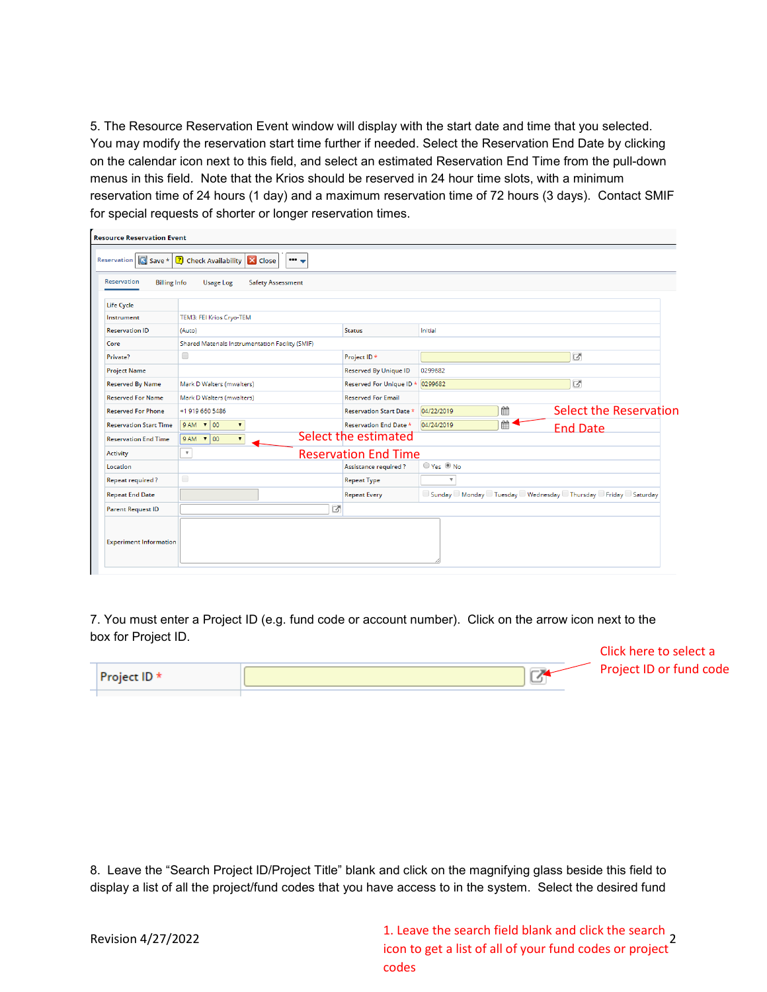5. The Resource Reservation Event window will display with the start date and time that you selected. You may modify the reservation start time further if needed. Select the Reservation End Date by clicking on the calendar icon next to this field, and select an estimated Reservation End Time from the pull-down menus in this field. Note that the Krios should be reserved in 24 hour time slots, with a minimum reservation time of 24 hours (1 day) and a maximum reservation time of 72 hours (3 days). Contact SMIF for special requests of shorter or longer reservation times.

| Reservation<br><b>Billing Info</b> | Reservation $\overline{S}$ Save * $\overline{?}$ Check Availability $\overline{X}$ Close<br><b>Usage Log</b><br><b>Safety Assessment</b> |                                  |                                                                        |                               |
|------------------------------------|------------------------------------------------------------------------------------------------------------------------------------------|----------------------------------|------------------------------------------------------------------------|-------------------------------|
| Life Cycle                         |                                                                                                                                          |                                  |                                                                        |                               |
| Instrument                         | TEM3: FEI Krios Cryo-TEM                                                                                                                 |                                  |                                                                        |                               |
| <b>Reservation ID</b>              | (Auto)                                                                                                                                   | <b>Status</b>                    | Initial                                                                |                               |
| Core                               | Shared Materials Instrumentation Facility (SMIF)                                                                                         |                                  |                                                                        |                               |
| Private?                           | $\Box$                                                                                                                                   | Project ID*                      | 囨                                                                      |                               |
| <b>Project Name</b>                |                                                                                                                                          | <b>Reserved By Unique ID</b>     | 0299682                                                                |                               |
| <b>Reserved By Name</b>            | Mark D Walters (mwalters)                                                                                                                | Reserved For Unique ID * 0299682 | 区                                                                      |                               |
| <b>Reserved For Name</b>           | Mark D Walters (mwalters)                                                                                                                | <b>Reserved For Email</b>        |                                                                        |                               |
| <b>Reserved For Phone</b>          | +1 919 660 5486                                                                                                                          | <b>Reservation Start Date *</b>  | 鱛<br>04/22/2019                                                        | <b>Select the Reservation</b> |
| <b>Reservation Start Time</b>      | $9AM \times 00$<br>$\blacktriangledown$                                                                                                  | <b>Reservation End Date *</b>    | ■1<br>04/24/2019<br><b>End Date</b>                                    |                               |
| <b>Reservation End Time</b>        | $9AM \mid 00$<br>$\blacktriangledown$                                                                                                    | Select the estimated             |                                                                        |                               |
| <b>Activity</b>                    | $\boldsymbol{\mathrm{v}}$                                                                                                                | <b>Reservation End Time</b>      |                                                                        |                               |
| Location                           |                                                                                                                                          | Assistance required?             | ○ Yes ◎ No                                                             |                               |
| <b>Repeat required?</b>            | $\Box$                                                                                                                                   | <b>Repeat Type</b>               | $\boldsymbol{\mathrm{v}}$                                              |                               |
| <b>Repeat End Date</b>             |                                                                                                                                          | <b>Repeat Every</b>              | □ Sunday □ Monday □ Tuesday □ Wednesday □ Thursday □ Friday □ Saturday |                               |
| <b>Parent Request ID</b>           |                                                                                                                                          | ☑                                |                                                                        |                               |
| <b>Experiment Information</b>      |                                                                                                                                          |                                  |                                                                        |                               |

7. You must enter a Project ID (e.g. fund code or account number). Click on the arrow icon next to the box for Project ID.

|              | Click here to select a  |
|--------------|-------------------------|
| Project ID * | Project ID or fund code |
|              |                         |

8. Leave the "Search Project ID/Project Title" blank and click on the magnifying glass beside this field to display a list of all the project/fund codes that you have access to in the system. Select the desired fund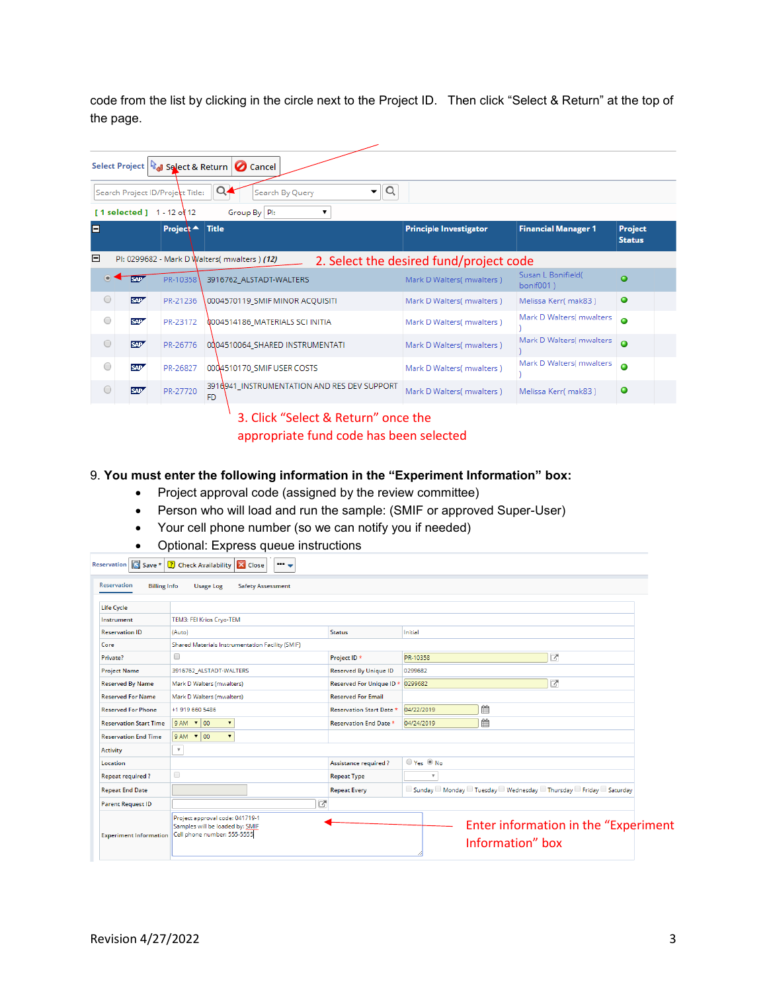code from the list by clicking in the circle next to the Project ID. Then click "Select & Return" at the top of the page.

|            |                  |                                              | Select Project & Return   C Cancel                 |                                         |                                 |                                 |
|------------|------------------|----------------------------------------------|----------------------------------------------------|-----------------------------------------|---------------------------------|---------------------------------|
|            |                  | Search Project ID/Project Title:             | Q<br>Q<br>▼<br>Search By Query                     |                                         |                                 |                                 |
|            |                  | $[1 \text{ selected}] 1 - 12 \text{ of } 12$ | Group By PI:<br>▼                                  |                                         |                                 |                                 |
| A          |                  | Project $\triangle$                          | Title                                              | <b>Principle Investigator</b>           | <b>Financial Manager 1</b>      | <b>Project</b><br><b>Status</b> |
| Ξ          |                  |                                              | PI: 0299682 - Mark D Walters( mwalters ) (12)      | 2. Select the desired fund/project code |                                 |                                 |
| $\bullet$  | <b>SAP4</b>      | PR-10358                                     | 3916762 ALSTADT-WALTERS                            | Mark D Walters( mwalters)               | Susan L Bonifield(<br>bonif001) | ٥                               |
| $\bigcirc$ | SAP <sup>2</sup> | PR-21236                                     | 0004570119 SMIF MINOR ACQUISITI                    | Mark D Walters( mwalters)               | Melissa Kerr(mak83)             | $\bullet$                       |
| $\bigcirc$ | SAP/             | PR-23172                                     | 0004514186_MATERIALS SCI INITIA                    | Mark D Walters( mwalters)               | Mark D Walters( mwalters        | Ο                               |
| $\circ$    | SAP <sup>7</sup> | PR-26776                                     | 0004510064_SHARED INSTRUMENTATI                    | Mark D Walters( mwalters)               | Mark D Walters( mwalters        | $\bullet$                       |
| $\bigcirc$ | SAP/             | PR-26827                                     | 0004510170_SMIF USER COSTS                         | Mark D Walters( mwalters)               | Mark D Walters( mwalters        | Ο                               |
| $\circ$    | SAP <sup>7</sup> | PR-27720                                     | 3916941_INSTRUMENTATION AND RES DEV SUPPORT<br>FD. | Mark D Walters( mwalters)               | Melissa Kerr(mak83)             | о                               |
|            |                  |                                              | 3. Click "Select & Return" once the                |                                         |                                 |                                 |

appropriate fund code has been selected

## 9. **You must enter the following information in the "Experiment Information" box:**

- Project approval code (assigned by the review committee)
- Person who will load and run the sample: (SMIF or approved Super-User)
- Your cell phone number (so we can notify you if needed)
- Optional: Express queue instructions

| Save * 3 Check Availability $\times$ Close<br>$\cdots$                                            |                                 |                                                                        |
|---------------------------------------------------------------------------------------------------|---------------------------------|------------------------------------------------------------------------|
| <b>Billing Info</b><br><b>Safety Assessment</b><br><b>Usage Log</b>                               |                                 |                                                                        |
|                                                                                                   |                                 |                                                                        |
| TEM3: FEI Krios Cryo-TEM                                                                          |                                 |                                                                        |
| (Auto)                                                                                            | <b>Status</b>                   | Initial                                                                |
| Shared Materials Instrumentation Facility (SMIF)                                                  |                                 |                                                                        |
| 0                                                                                                 | Project ID *                    | で<br>PR-10358                                                          |
| 3916762 ALSTADT-WALTERS                                                                           | <b>Reserved By Unique ID</b>    | 0299682                                                                |
| Mark D Walters (mwalters)                                                                         | Reserved For Unique ID *        | ☞<br>0299682                                                           |
| Mark D Walters (mwalters)                                                                         | <b>Reserved For Email</b>       |                                                                        |
| +1 919 660 5486                                                                                   | <b>Reservation Start Date *</b> | 鱛<br>04/22/2019                                                        |
| $9AM$ $\sqrt{00}$<br>$\pmb{\mathrm{v}}$                                                           | <b>Reservation End Date *</b>   | 鱛<br>04/24/2019                                                        |
| $9AM \times 00$<br>$\blacktriangledown$                                                           |                                 |                                                                        |
| $\boldsymbol{\mathrm{v}}$                                                                         |                                 |                                                                        |
|                                                                                                   | Assistance required?            | O Yes ◎ No                                                             |
| $\Box$                                                                                            | <b>Repeat Type</b>              | $\boldsymbol{\mathrm{v}}$                                              |
|                                                                                                   | <b>Repeat Every</b>             | □ Sunday □ Monday □ Tuesday □ Wednesday □ Thursday □ Friday □ Saturday |
| ø                                                                                                 |                                 |                                                                        |
| Project approval code: 041719-1<br>Samples will be loaded by: SMIF<br>Cell phone number: 555-5555 |                                 | Enter information in the "Experiment"<br>Information" box              |
|                                                                                                   |                                 |                                                                        |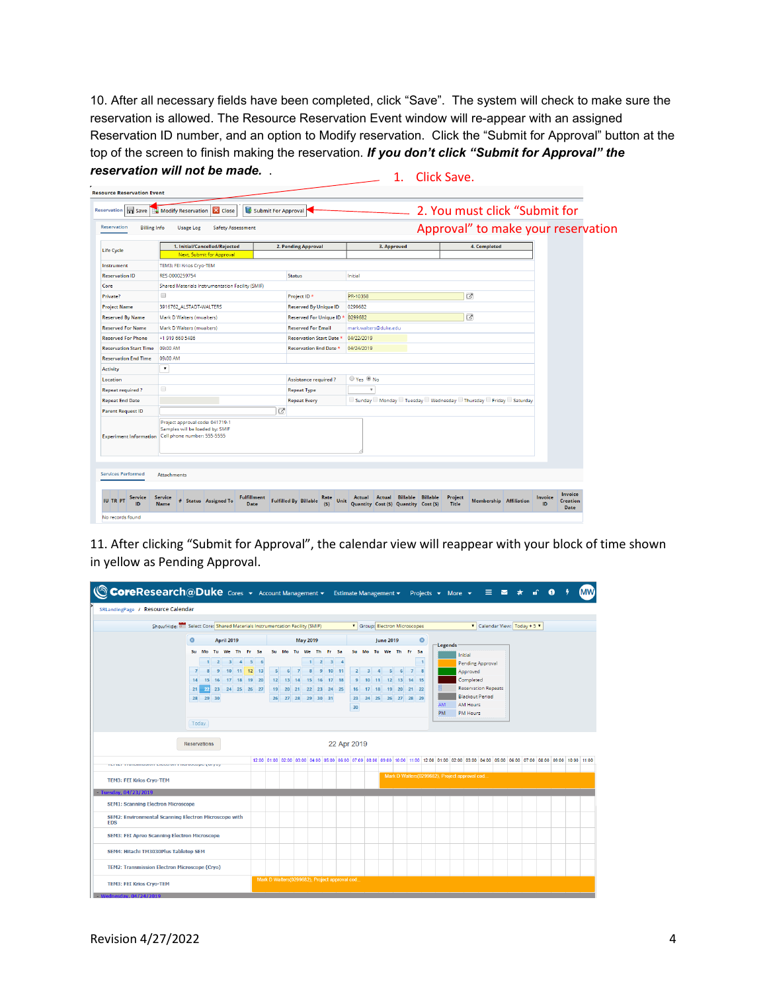10. After all necessary fields have been completed, click "Save". The system will check to make sure the reservation is allowed. The Resource Reservation Event window will re-appear with an assigned Reservation ID number, and an option to Modify reservation. Click the "Submit for Approval" button at the top of the screen to finish making the reservation. *If you don't click "Submit for Approval" the reservation will not be made.* . 1. Click Save.

| Reservation<br><b>Billing Info</b>      | <b>Safety Assessment</b><br><b>Usage Log</b>                                                      |   |                                                     |                                                           |                                    |                  | 2. You must click "Submit for |  |               | Approval" to make your reservation               |
|-----------------------------------------|---------------------------------------------------------------------------------------------------|---|-----------------------------------------------------|-----------------------------------------------------------|------------------------------------|------------------|-------------------------------|--|---------------|--------------------------------------------------|
| <b>Life Cycle</b>                       | 1. Initial/Cancelled/Rejected                                                                     |   | 2. Pending Approval                                 | 3. Approved                                               |                                    |                  | 4. Completed                  |  |               |                                                  |
|                                         | Next, Submit for Approval                                                                         |   |                                                     |                                                           |                                    |                  |                               |  |               |                                                  |
| Instrument                              | TEM3: FEI Krios Cryo-TEM                                                                          |   |                                                     |                                                           |                                    |                  |                               |  |               |                                                  |
| <b>Reservation ID</b>                   | RES-0000259754                                                                                    |   | <b>Status</b>                                       | Initial                                                   |                                    |                  |                               |  |               |                                                  |
| Core                                    | Shared Materials Instrumentation Facility (SMIF)                                                  |   |                                                     |                                                           |                                    |                  |                               |  |               |                                                  |
| Private?                                | $\Box$                                                                                            |   | Project ID *                                        | PR-10358                                                  |                                    |                  | 区                             |  |               |                                                  |
| <b>Project Name</b>                     | 3916762 ALSTADT-WALTERS                                                                           |   | <b>Reserved By Unique ID</b>                        | 0299682                                                   |                                    |                  |                               |  |               |                                                  |
| <b>Reserved By Name</b>                 | Mark D Walters (mwalters)                                                                         |   | Reserved For Unique ID                              | 0299682                                                   | ø                                  |                  |                               |  |               |                                                  |
| <b>Reserved For Name</b>                | Mark D Walters (mwalters)                                                                         |   | <b>Reserved For Email</b>                           | mark.walters@duke.edu                                     |                                    |                  |                               |  |               |                                                  |
| <b>Reserved For Phone</b>               | +1 919 660 5486                                                                                   |   | <b>Reservation Start Date *</b>                     | 04/22/2019                                                |                                    |                  |                               |  |               |                                                  |
| <b>Reservation Start Time</b>           | 09:00 AM                                                                                          |   | <b>Reservation End Date *</b>                       | 04/24/2019                                                |                                    |                  |                               |  |               |                                                  |
| <b>Reservation End Time</b>             | 09:00 AM                                                                                          |   |                                                     |                                                           |                                    |                  |                               |  |               |                                                  |
| <b>Activity</b>                         | $\pmb{\mathrm{v}}$                                                                                |   |                                                     |                                                           |                                    |                  |                               |  |               |                                                  |
| Location                                |                                                                                                   |   | <b>Assistance required?</b>                         | ■ Yes ● No                                                |                                    |                  |                               |  |               |                                                  |
| <b>Repeat required?</b>                 | $\qquad \qquad \Box$                                                                              |   | <b>Repeat Type</b>                                  | $\boldsymbol{\mathrm{v}}$                                 |                                    |                  |                               |  |               |                                                  |
| <b>Repeat End Date</b>                  |                                                                                                   |   | <b>Repeat Every</b>                                 | Sunday Monday Tuesday Wednesday Thursday Friday Saturday  |                                    |                  |                               |  |               |                                                  |
| <b>Parent Request ID</b>                |                                                                                                   | 区 |                                                     |                                                           |                                    |                  |                               |  |               |                                                  |
| <b>Experiment Information</b>           | Project approval code: 041719-1<br>Samples will be loaded by: SMIF<br>Cell phone number: 555-5555 |   |                                                     |                                                           |                                    |                  |                               |  |               |                                                  |
| <b>Services Performed</b>               | <b>Attachments</b>                                                                                |   |                                                     |                                                           |                                    |                  |                               |  |               |                                                  |
| <b>Service</b><br><b>IU TR PT</b><br>ın | <b>Fulfillment</b><br><b>Service</b><br># Status Assigned To<br><b>Name</b><br>Date               |   | Rate<br><b>Fulfilled By Billable</b><br>Unit<br>(S) | Actual<br>Actual<br>Quantity Cost (\$) Quantity Cost (\$) | <b>Billable</b><br><b>Billable</b> | Project<br>Title | <b>Membership</b> Affiliation |  | Invoice<br>ID | <b>Invoice</b><br><b>Creation</b><br><b>Date</b> |

11. After clicking "Submit for Approval", the calendar view will reappear with your block of time shown in yellow as Pending Approval.

| CoreResearch@Duke Cores v Account Management v                      |                      |          |                    |                   |                                             |                                                                                                                    |                                               |                            |                      |                |                             |                               |             |                |                                             |       |                                    |                            |                |                              |                 | Estimate Management $\overline{\phantom{a}}$ Projects $\overline{\phantom{a}}$ More $\overline{\phantom{a}}$ |                                    | 三四大 |  | $\bullet$                                                                                                                                             | <b>MW</b> |
|---------------------------------------------------------------------|----------------------|----------|--------------------|-------------------|---------------------------------------------|--------------------------------------------------------------------------------------------------------------------|-----------------------------------------------|----------------------------|----------------------|----------------|-----------------------------|-------------------------------|-------------|----------------|---------------------------------------------|-------|------------------------------------|----------------------------|----------------|------------------------------|-----------------|--------------------------------------------------------------------------------------------------------------|------------------------------------|-----|--|-------------------------------------------------------------------------------------------------------------------------------------------------------|-----------|
| SRLandingPage / Resource Calendar                                   |                      |          |                    |                   |                                             |                                                                                                                    |                                               |                            |                      |                |                             |                               |             |                |                                             |       |                                    |                            |                |                              |                 |                                                                                                              |                                    |     |  |                                                                                                                                                       |           |
|                                                                     |                      |          |                    |                   |                                             | Show/Hide: 8 Select Core: Shared Materials Instrumentation Facility (SMIF)<br><b>V</b> Group: Electron Microscopes |                                               |                            |                      |                |                             |                               |             |                |                                             |       |                                    |                            |                | ▼ Calendar View: Today + 5 ▼ |                 |                                                                                                              |                                    |     |  |                                                                                                                                                       |           |
|                                                                     | $\bullet$            |          |                    | <b>April 2019</b> |                                             | <b>May 2019</b>                                                                                                    |                                               |                            |                      |                |                             | $\bullet$<br><b>June 2019</b> |             |                |                                             |       |                                    |                            |                | $\sqsubset$ Legends          |                 |                                                                                                              |                                    |     |  |                                                                                                                                                       |           |
|                                                                     |                      |          |                    |                   | Su Mo Tu We Th Fr Sa                        |                                                                                                                    |                                               |                            | Su Mo Tu We Th Fr Sa |                |                             |                               |             |                |                                             |       |                                    | Su Mo Tu We Th Fr Sa       |                |                              |                 |                                                                                                              | Initial                            |     |  |                                                                                                                                                       |           |
|                                                                     |                      |          |                    |                   | $1 \quad 2 \quad 3 \quad 4 \quad 5 \quad 6$ |                                                                                                                    |                                               |                            |                      |                | $1 \quad 2 \quad 3 \quad 4$ |                               |             |                |                                             |       |                                    |                            |                | $\overline{1}$               |                 |                                                                                                              | Pending Approval                   |     |  |                                                                                                                                                       |           |
|                                                                     | $\overline{7}$<br>14 | 15       | $\mathbf{Q}$<br>16 |                   | 10 11 12 13<br>17 18 19 20                  |                                                                                                                    | 5 <sup>1</sup>                                | 6 <sup>1</sup><br>12 13 14 | $\overline{7}$       | 8 <sup>1</sup> | 9 10 11<br>15 16 17 18      |                               |             | 2 <sup>1</sup> | $\overline{\phantom{a}}$<br>10 <sup>1</sup> | 11    | $\vert$ <sub>5</sub> $\vert$<br>12 | 6 <sup>1</sup><br>13 14 15 | $\overline{7}$ |                              |                 |                                                                                                              | Approved<br>Completed              |     |  |                                                                                                                                                       |           |
|                                                                     | 21                   |          |                    |                   | 22 23 24 25 26 27                           |                                                                                                                    |                                               |                            | 19 20 21 22 23 24 25 |                |                             |                               |             | 16             |                                             | 17 18 |                                    | 19 20 21 22                |                |                              |                 |                                                                                                              | <b>Reservation Repeats</b>         |     |  |                                                                                                                                                       |           |
|                                                                     |                      | 28 29 30 |                    |                   |                                             |                                                                                                                    |                                               |                            | 26 27 28 29 30 31    |                |                             |                               |             | 23             |                                             |       |                                    | 24 25 26 27 28 29          |                |                              |                 |                                                                                                              | <b>Blackout Period</b>             |     |  |                                                                                                                                                       |           |
|                                                                     |                      |          |                    |                   |                                             |                                                                                                                    |                                               |                            |                      |                |                             |                               |             | 30             |                                             |       |                                    |                            |                |                              | AM<br><b>PM</b> |                                                                                                              | <b>AM Hours</b><br><b>PM Hours</b> |     |  |                                                                                                                                                       |           |
|                                                                     |                      | Today    |                    |                   |                                             |                                                                                                                    |                                               |                            |                      |                |                             |                               |             |                |                                             |       |                                    |                            |                |                              |                 |                                                                                                              |                                    |     |  |                                                                                                                                                       |           |
|                                                                     |                      |          |                    |                   |                                             |                                                                                                                    |                                               |                            |                      |                |                             |                               |             |                |                                             |       |                                    |                            |                |                              |                 |                                                                                                              |                                    |     |  |                                                                                                                                                       |           |
|                                                                     | <b>Reservations</b>  |          |                    |                   |                                             |                                                                                                                    |                                               |                            |                      |                |                             |                               | 22 Apr 2019 |                |                                             |       |                                    |                            |                |                              |                 |                                                                                                              |                                    |     |  |                                                                                                                                                       |           |
| <u>i si ist i ranomoonen saaaaren i mereevezet verve</u>            |                      |          |                    |                   |                                             |                                                                                                                    |                                               |                            |                      |                |                             |                               |             |                |                                             |       |                                    |                            |                |                              |                 |                                                                                                              |                                    |     |  | 12:00 01:00 02:00 03:00 04:00 05:00 06:00 07:00 08:00 09:00 10:00 10:00 11:00 12:00 01:00 02:00 03:00 04:00 05:00 06:00 07:00 08:00 09:00 11:00 11:00 |           |
|                                                                     |                      |          |                    |                   |                                             |                                                                                                                    |                                               |                            |                      |                |                             |                               |             |                |                                             |       |                                    |                            |                |                              |                 | Mark D Walters(0299682), Project approval cod                                                                |                                    |     |  |                                                                                                                                                       |           |
| <b>TEM3: FEI Krios Cryo-TEM</b>                                     |                      |          |                    |                   |                                             |                                                                                                                    |                                               |                            |                      |                |                             |                               |             |                |                                             |       |                                    |                            |                |                              |                 |                                                                                                              |                                    |     |  |                                                                                                                                                       |           |
| Tuesday, 04/23/2019                                                 |                      |          |                    |                   |                                             |                                                                                                                    |                                               |                            |                      |                |                             |                               |             |                |                                             |       |                                    |                            |                |                              |                 |                                                                                                              |                                    |     |  |                                                                                                                                                       |           |
| <b>SEM1: Scanning Electron Microscope</b>                           |                      |          |                    |                   |                                             |                                                                                                                    |                                               |                            |                      |                |                             |                               |             |                |                                             |       |                                    |                            |                |                              |                 |                                                                                                              |                                    |     |  |                                                                                                                                                       |           |
| SEM2: Environmental Scanning Electron Microscope with<br><b>FDS</b> |                      |          |                    |                   |                                             |                                                                                                                    |                                               |                            |                      |                |                             |                               |             |                |                                             |       |                                    |                            |                |                              |                 |                                                                                                              |                                    |     |  |                                                                                                                                                       |           |
| SEM3: FEI Apreo Scanning Electron Microscope                        |                      |          |                    |                   |                                             |                                                                                                                    |                                               |                            |                      |                |                             |                               |             |                |                                             |       |                                    |                            |                |                              |                 |                                                                                                              |                                    |     |  |                                                                                                                                                       |           |
| SEM4: Hitachi TM3030Plus Tabletop SEM                               |                      |          |                    |                   |                                             |                                                                                                                    |                                               |                            |                      |                |                             |                               |             |                |                                             |       |                                    |                            |                |                              |                 |                                                                                                              |                                    |     |  |                                                                                                                                                       |           |
| <b>TEM2: Transmission Electron Microscope (Cryo)</b>                |                      |          |                    |                   |                                             |                                                                                                                    |                                               |                            |                      |                |                             |                               |             |                |                                             |       |                                    |                            |                |                              |                 |                                                                                                              |                                    |     |  |                                                                                                                                                       |           |
| <b>TEM3: FEI Krios Cryo-TEM</b>                                     |                      |          |                    |                   |                                             |                                                                                                                    | Mark D Walters(0299682), Project approval cod |                            |                      |                |                             |                               |             |                |                                             |       |                                    |                            |                |                              |                 |                                                                                                              |                                    |     |  |                                                                                                                                                       |           |
| <b>Wednesday, 04/24/2019</b>                                        |                      |          |                    |                   |                                             |                                                                                                                    |                                               |                            |                      |                |                             |                               |             |                |                                             |       |                                    |                            |                |                              |                 |                                                                                                              |                                    |     |  |                                                                                                                                                       |           |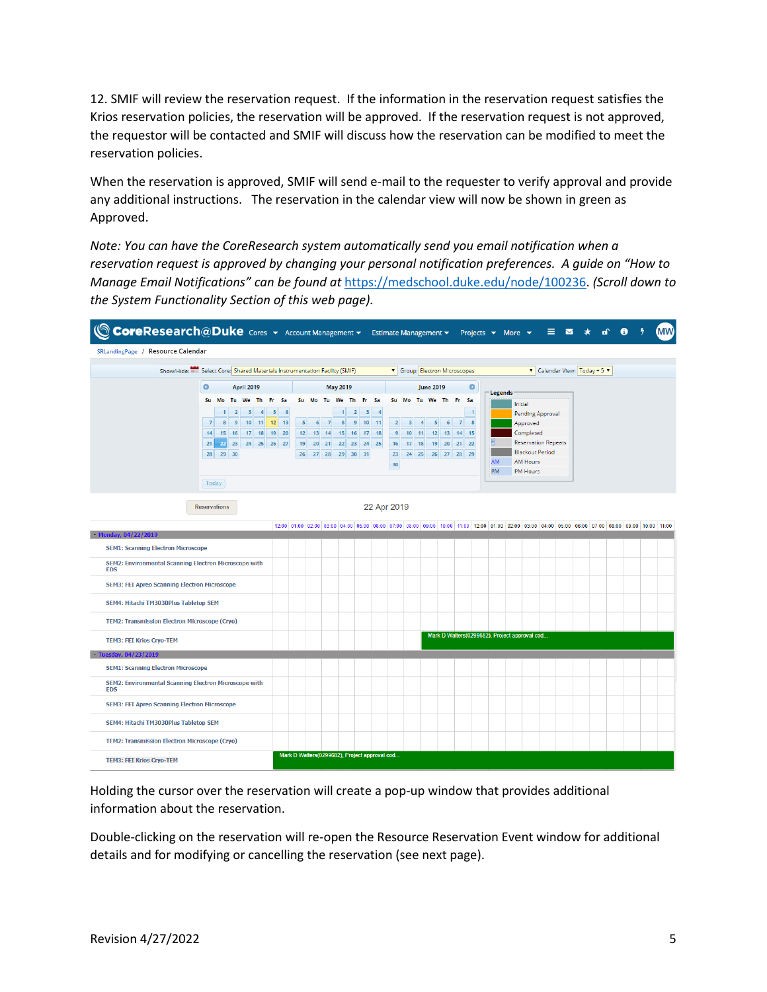12. SMIF will review the reservation request. If the information in the reservation request satisfies the Krios reservation policies, the reservation will be approved. If the reservation request is not approved, the requestor will be contacted and SMIF will discuss how the reservation can be modified to meet the reservation policies.

When the reservation is approved, SMIF will send e-mail to the requester to verify approval and provide any additional instructions. The reservation in the calendar view will now be shown in green as Approved.

*Note: You can have the CoreResearch system automatically send you email notification when a reservation request is approved by changing your personal notification preferences. A guide on "How to Manage Email Notifications" can be found at* [https://medschool.duke.edu/node/100236.](https://medschool.duke.edu/node/100236) *(Scroll down to the System Functionality Section of this web page).*



Holding the cursor over the reservation will create a pop-up window that provides additional information about the reservation.

Double-clicking on the reservation will re-open the Resource Reservation Event window for additional details and for modifying or cancelling the reservation (see next page).